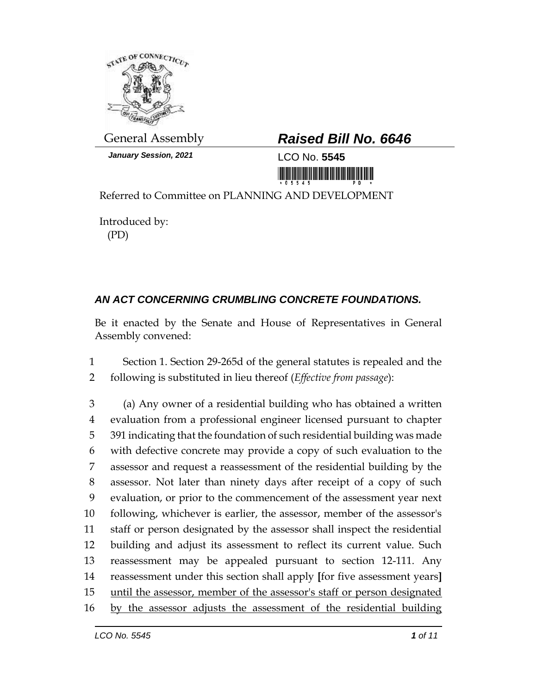

*January Session, 2021* LCO No. **5545**

## General Assembly *Raised Bill No. 6646*

<u> 1999 - An Dùbhlachd ann an Dùbhaich ann an Dùbhlachd ann an Dùbhlachd ann an Dùbhlachd ann an Dùbhlachd ann a</u>

Referred to Committee on PLANNING AND DEVELOPMENT

Introduced by: (PD)

## *AN ACT CONCERNING CRUMBLING CONCRETE FOUNDATIONS.*

Be it enacted by the Senate and House of Representatives in General Assembly convened:

1 Section 1. Section 29-265d of the general statutes is repealed and the 2 following is substituted in lieu thereof (*Effective from passage*):

 (a) Any owner of a residential building who has obtained a written evaluation from a professional engineer licensed pursuant to chapter 391 indicating that the foundation of such residential building was made with defective concrete may provide a copy of such evaluation to the assessor and request a reassessment of the residential building by the assessor. Not later than ninety days after receipt of a copy of such evaluation, or prior to the commencement of the assessment year next following, whichever is earlier, the assessor, member of the assessor's staff or person designated by the assessor shall inspect the residential building and adjust its assessment to reflect its current value. Such reassessment may be appealed pursuant to section 12-111. Any reassessment under this section shall apply **[**for five assessment years**]** 15 until the assessor, member of the assessor's staff or person designated by the assessor adjusts the assessment of the residential building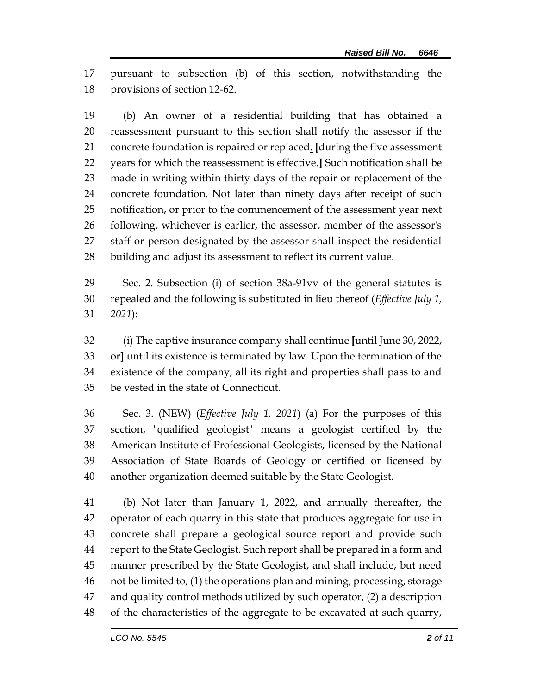pursuant to subsection (b) of this section, notwithstanding the provisions of section 12-62.

 (b) An owner of a residential building that has obtained a reassessment pursuant to this section shall notify the assessor if the concrete foundation is repaired or replaced. **[**during the five assessment years for which the reassessment is effective.**]** Such notification shall be made in writing within thirty days of the repair or replacement of the concrete foundation. Not later than ninety days after receipt of such notification, or prior to the commencement of the assessment year next following, whichever is earlier, the assessor, member of the assessor's staff or person designated by the assessor shall inspect the residential building and adjust its assessment to reflect its current value.

 Sec. 2. Subsection (i) of section 38a-91vv of the general statutes is repealed and the following is substituted in lieu thereof (*Effective July 1, 2021*):

 (i) The captive insurance company shall continue **[**until June 30, 2022, or**]** until its existence is terminated by law. Upon the termination of the existence of the company, all its right and properties shall pass to and be vested in the state of Connecticut.

 Sec. 3. (NEW) (*Effective July 1, 2021*) (a) For the purposes of this section, "qualified geologist" means a geologist certified by the American Institute of Professional Geologists, licensed by the National Association of State Boards of Geology or certified or licensed by another organization deemed suitable by the State Geologist.

 (b) Not later than January 1, 2022, and annually thereafter, the operator of each quarry in this state that produces aggregate for use in concrete shall prepare a geological source report and provide such report to the State Geologist. Such report shall be prepared in a form and manner prescribed by the State Geologist, and shall include, but need not be limited to, (1) the operations plan and mining, processing, storage and quality control methods utilized by such operator, (2) a description of the characteristics of the aggregate to be excavated at such quarry,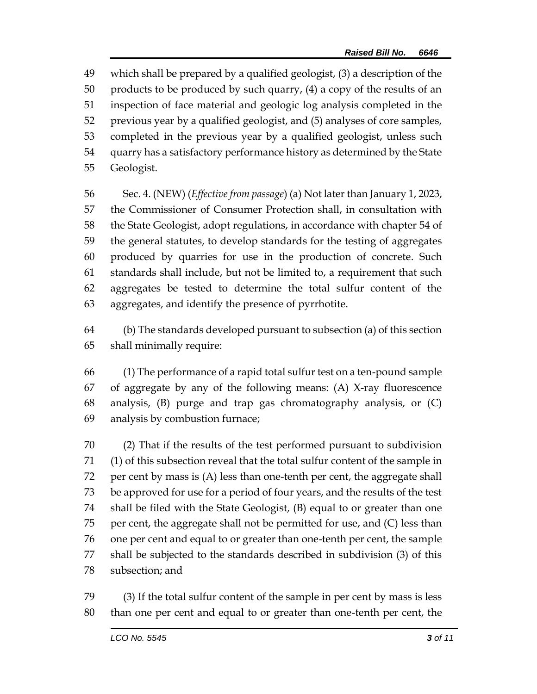which shall be prepared by a qualified geologist, (3) a description of the products to be produced by such quarry, (4) a copy of the results of an inspection of face material and geologic log analysis completed in the previous year by a qualified geologist, and (5) analyses of core samples, completed in the previous year by a qualified geologist, unless such quarry has a satisfactory performance history as determined by the State Geologist.

 Sec. 4. (NEW) (*Effective from passage*) (a) Not later than January 1, 2023, the Commissioner of Consumer Protection shall, in consultation with the State Geologist, adopt regulations, in accordance with chapter 54 of the general statutes, to develop standards for the testing of aggregates produced by quarries for use in the production of concrete. Such standards shall include, but not be limited to, a requirement that such aggregates be tested to determine the total sulfur content of the aggregates, and identify the presence of pyrrhotite.

 (b) The standards developed pursuant to subsection (a) of this section shall minimally require:

 (1) The performance of a rapid total sulfur test on a ten-pound sample of aggregate by any of the following means: (A) X-ray fluorescence analysis, (B) purge and trap gas chromatography analysis, or (C) analysis by combustion furnace;

 (2) That if the results of the test performed pursuant to subdivision (1) of this subsection reveal that the total sulfur content of the sample in per cent by mass is (A) less than one-tenth per cent, the aggregate shall be approved for use for a period of four years, and the results of the test shall be filed with the State Geologist, (B) equal to or greater than one per cent, the aggregate shall not be permitted for use, and (C) less than one per cent and equal to or greater than one-tenth per cent, the sample shall be subjected to the standards described in subdivision (3) of this subsection; and

 (3) If the total sulfur content of the sample in per cent by mass is less than one per cent and equal to or greater than one-tenth per cent, the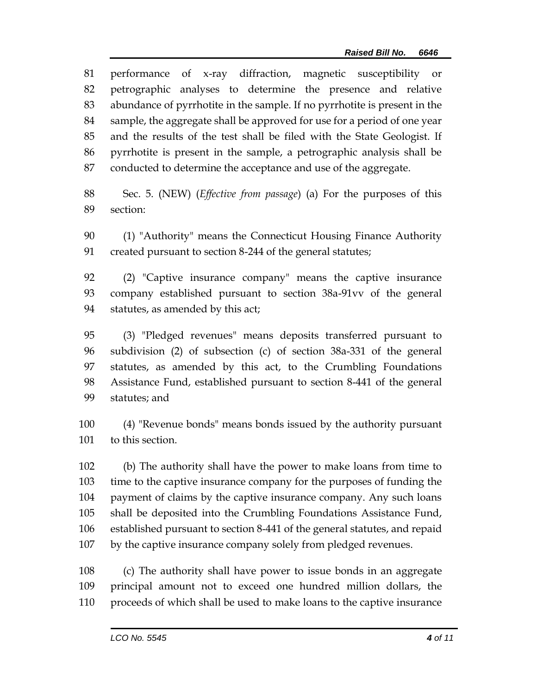performance of x-ray diffraction, magnetic susceptibility or petrographic analyses to determine the presence and relative abundance of pyrrhotite in the sample. If no pyrrhotite is present in the sample, the aggregate shall be approved for use for a period of one year and the results of the test shall be filed with the State Geologist. If pyrrhotite is present in the sample, a petrographic analysis shall be conducted to determine the acceptance and use of the aggregate.

 Sec. 5. (NEW) (*Effective from passage*) (a) For the purposes of this section:

 (1) "Authority" means the Connecticut Housing Finance Authority created pursuant to section 8-244 of the general statutes;

 (2) "Captive insurance company" means the captive insurance company established pursuant to section 38a-91vv of the general statutes, as amended by this act;

 (3) "Pledged revenues" means deposits transferred pursuant to subdivision (2) of subsection (c) of section 38a-331 of the general statutes, as amended by this act, to the Crumbling Foundations Assistance Fund, established pursuant to section 8-441 of the general statutes; and

 (4) "Revenue bonds" means bonds issued by the authority pursuant to this section.

 (b) The authority shall have the power to make loans from time to time to the captive insurance company for the purposes of funding the payment of claims by the captive insurance company. Any such loans shall be deposited into the Crumbling Foundations Assistance Fund, established pursuant to section 8-441 of the general statutes, and repaid by the captive insurance company solely from pledged revenues.

 (c) The authority shall have power to issue bonds in an aggregate principal amount not to exceed one hundred million dollars, the proceeds of which shall be used to make loans to the captive insurance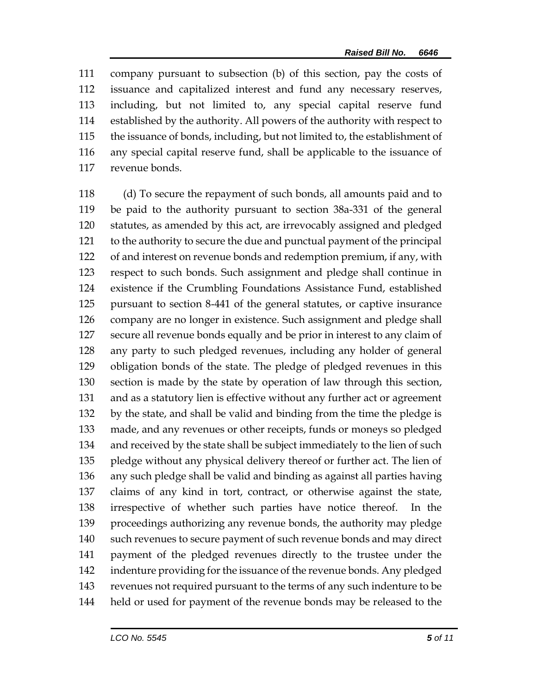company pursuant to subsection (b) of this section, pay the costs of issuance and capitalized interest and fund any necessary reserves, including, but not limited to, any special capital reserve fund established by the authority. All powers of the authority with respect to the issuance of bonds, including, but not limited to, the establishment of any special capital reserve fund, shall be applicable to the issuance of revenue bonds.

 (d) To secure the repayment of such bonds, all amounts paid and to be paid to the authority pursuant to section 38a-331 of the general statutes, as amended by this act, are irrevocably assigned and pledged to the authority to secure the due and punctual payment of the principal of and interest on revenue bonds and redemption premium, if any, with respect to such bonds. Such assignment and pledge shall continue in existence if the Crumbling Foundations Assistance Fund, established pursuant to section 8-441 of the general statutes, or captive insurance company are no longer in existence. Such assignment and pledge shall secure all revenue bonds equally and be prior in interest to any claim of any party to such pledged revenues, including any holder of general obligation bonds of the state. The pledge of pledged revenues in this section is made by the state by operation of law through this section, and as a statutory lien is effective without any further act or agreement by the state, and shall be valid and binding from the time the pledge is made, and any revenues or other receipts, funds or moneys so pledged and received by the state shall be subject immediately to the lien of such pledge without any physical delivery thereof or further act. The lien of any such pledge shall be valid and binding as against all parties having claims of any kind in tort, contract, or otherwise against the state, irrespective of whether such parties have notice thereof. In the proceedings authorizing any revenue bonds, the authority may pledge such revenues to secure payment of such revenue bonds and may direct payment of the pledged revenues directly to the trustee under the indenture providing for the issuance of the revenue bonds. Any pledged revenues not required pursuant to the terms of any such indenture to be held or used for payment of the revenue bonds may be released to the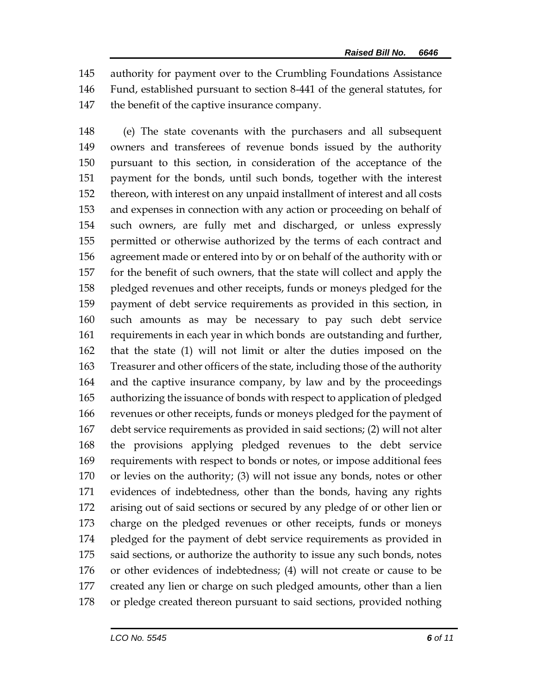authority for payment over to the Crumbling Foundations Assistance Fund, established pursuant to section 8-441 of the general statutes, for the benefit of the captive insurance company.

 (e) The state covenants with the purchasers and all subsequent owners and transferees of revenue bonds issued by the authority pursuant to this section, in consideration of the acceptance of the payment for the bonds, until such bonds, together with the interest thereon, with interest on any unpaid installment of interest and all costs and expenses in connection with any action or proceeding on behalf of such owners, are fully met and discharged, or unless expressly permitted or otherwise authorized by the terms of each contract and agreement made or entered into by or on behalf of the authority with or for the benefit of such owners, that the state will collect and apply the pledged revenues and other receipts, funds or moneys pledged for the payment of debt service requirements as provided in this section, in such amounts as may be necessary to pay such debt service requirements in each year in which bonds are outstanding and further, that the state (1) will not limit or alter the duties imposed on the Treasurer and other officers of the state, including those of the authority and the captive insurance company, by law and by the proceedings authorizing the issuance of bonds with respect to application of pledged revenues or other receipts, funds or moneys pledged for the payment of debt service requirements as provided in said sections; (2) will not alter the provisions applying pledged revenues to the debt service requirements with respect to bonds or notes, or impose additional fees or levies on the authority; (3) will not issue any bonds, notes or other evidences of indebtedness, other than the bonds, having any rights arising out of said sections or secured by any pledge of or other lien or charge on the pledged revenues or other receipts, funds or moneys pledged for the payment of debt service requirements as provided in 175 said sections, or authorize the authority to issue any such bonds, notes or other evidences of indebtedness; (4) will not create or cause to be created any lien or charge on such pledged amounts, other than a lien or pledge created thereon pursuant to said sections, provided nothing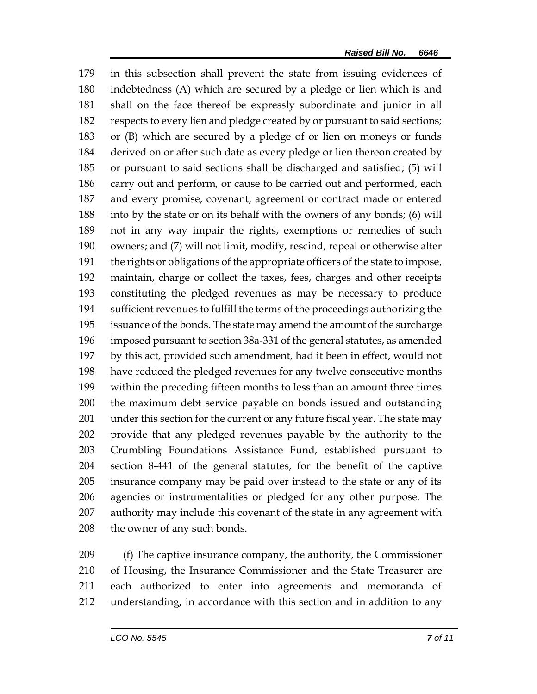in this subsection shall prevent the state from issuing evidences of indebtedness (A) which are secured by a pledge or lien which is and shall on the face thereof be expressly subordinate and junior in all respects to every lien and pledge created by or pursuant to said sections; or (B) which are secured by a pledge of or lien on moneys or funds derived on or after such date as every pledge or lien thereon created by or pursuant to said sections shall be discharged and satisfied; (5) will carry out and perform, or cause to be carried out and performed, each and every promise, covenant, agreement or contract made or entered into by the state or on its behalf with the owners of any bonds; (6) will not in any way impair the rights, exemptions or remedies of such owners; and (7) will not limit, modify, rescind, repeal or otherwise alter the rights or obligations of the appropriate officers of the state to impose, maintain, charge or collect the taxes, fees, charges and other receipts constituting the pledged revenues as may be necessary to produce sufficient revenues to fulfill the terms of the proceedings authorizing the issuance of the bonds. The state may amend the amount of the surcharge imposed pursuant to section 38a-331 of the general statutes, as amended by this act, provided such amendment, had it been in effect, would not have reduced the pledged revenues for any twelve consecutive months within the preceding fifteen months to less than an amount three times the maximum debt service payable on bonds issued and outstanding under this section for the current or any future fiscal year. The state may provide that any pledged revenues payable by the authority to the Crumbling Foundations Assistance Fund, established pursuant to section 8-441 of the general statutes, for the benefit of the captive insurance company may be paid over instead to the state or any of its agencies or instrumentalities or pledged for any other purpose. The authority may include this covenant of the state in any agreement with the owner of any such bonds.

 (f) The captive insurance company, the authority, the Commissioner of Housing, the Insurance Commissioner and the State Treasurer are each authorized to enter into agreements and memoranda of understanding, in accordance with this section and in addition to any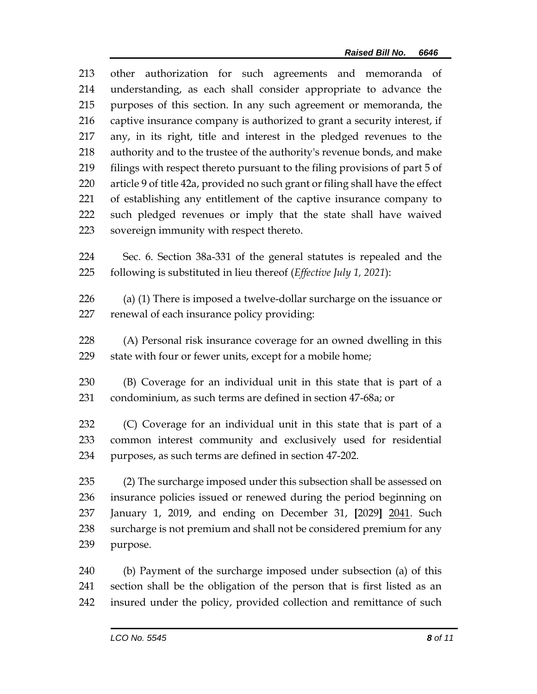other authorization for such agreements and memoranda of understanding, as each shall consider appropriate to advance the purposes of this section. In any such agreement or memoranda, the captive insurance company is authorized to grant a security interest, if any, in its right, title and interest in the pledged revenues to the authority and to the trustee of the authority's revenue bonds, and make filings with respect thereto pursuant to the filing provisions of part 5 of article 9 of title 42a, provided no such grant or filing shall have the effect of establishing any entitlement of the captive insurance company to such pledged revenues or imply that the state shall have waived sovereign immunity with respect thereto.

 Sec. 6. Section 38a-331 of the general statutes is repealed and the following is substituted in lieu thereof (*Effective July 1, 2021*):

 (a) (1) There is imposed a twelve-dollar surcharge on the issuance or renewal of each insurance policy providing:

 (A) Personal risk insurance coverage for an owned dwelling in this state with four or fewer units, except for a mobile home;

 (B) Coverage for an individual unit in this state that is part of a condominium, as such terms are defined in section 47-68a; or

 (C) Coverage for an individual unit in this state that is part of a common interest community and exclusively used for residential purposes, as such terms are defined in section 47-202.

 (2) The surcharge imposed under this subsection shall be assessed on insurance policies issued or renewed during the period beginning on January 1, 2019, and ending on December 31, **[**2029**]** 2041. Such surcharge is not premium and shall not be considered premium for any purpose.

 (b) Payment of the surcharge imposed under subsection (a) of this section shall be the obligation of the person that is first listed as an insured under the policy, provided collection and remittance of such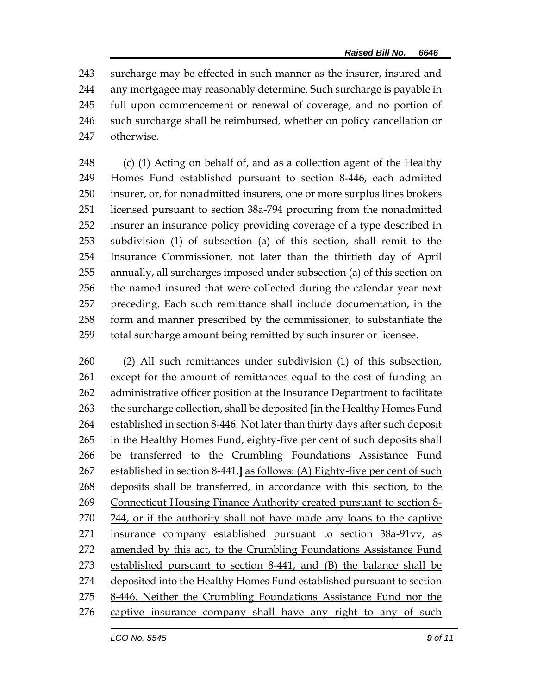surcharge may be effected in such manner as the insurer, insured and any mortgagee may reasonably determine. Such surcharge is payable in full upon commencement or renewal of coverage, and no portion of such surcharge shall be reimbursed, whether on policy cancellation or otherwise.

248 (c) (1) Acting on behalf of, and as a collection agent of the Healthy Homes Fund established pursuant to section 8-446, each admitted insurer, or, for nonadmitted insurers, one or more surplus lines brokers licensed pursuant to section 38a-794 procuring from the nonadmitted insurer an insurance policy providing coverage of a type described in subdivision (1) of subsection (a) of this section, shall remit to the Insurance Commissioner, not later than the thirtieth day of April annually, all surcharges imposed under subsection (a) of this section on the named insured that were collected during the calendar year next preceding. Each such remittance shall include documentation, in the form and manner prescribed by the commissioner, to substantiate the total surcharge amount being remitted by such insurer or licensee.

 (2) All such remittances under subdivision (1) of this subsection, except for the amount of remittances equal to the cost of funding an administrative officer position at the Insurance Department to facilitate the surcharge collection, shall be deposited **[**in the Healthy Homes Fund established in section 8-446. Not later than thirty days after such deposit in the Healthy Homes Fund, eighty-five per cent of such deposits shall be transferred to the Crumbling Foundations Assistance Fund established in section 8-441.**]** as follows: (A) Eighty-five per cent of such deposits shall be transferred, in accordance with this section, to the Connecticut Housing Finance Authority created pursuant to section 8- 244, or if the authority shall not have made any loans to the captive insurance company established pursuant to section 38a-91vv, as 272 amended by this act, to the Crumbling Foundations Assistance Fund established pursuant to section 8-441, and (B) the balance shall be deposited into the Healthy Homes Fund established pursuant to section 8-446. Neither the Crumbling Foundations Assistance Fund nor the captive insurance company shall have any right to any of such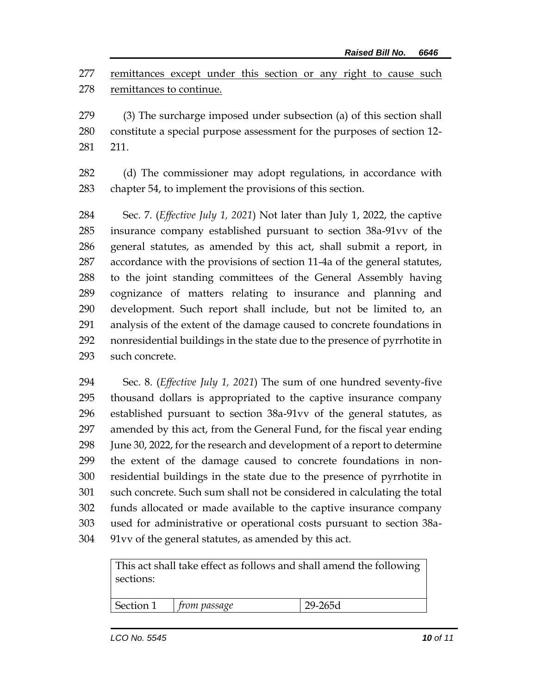remittances except under this section or any right to cause such remittances to continue.

 (3) The surcharge imposed under subsection (a) of this section shall constitute a special purpose assessment for the purposes of section 12- 211.

 (d) The commissioner may adopt regulations, in accordance with chapter 54, to implement the provisions of this section.

 Sec. 7. (*Effective July 1, 2021*) Not later than July 1, 2022, the captive insurance company established pursuant to section 38a-91vv of the general statutes, as amended by this act, shall submit a report, in accordance with the provisions of section 11-4a of the general statutes, to the joint standing committees of the General Assembly having cognizance of matters relating to insurance and planning and development. Such report shall include, but not be limited to, an analysis of the extent of the damage caused to concrete foundations in nonresidential buildings in the state due to the presence of pyrrhotite in such concrete.

 Sec. 8. (*Effective July 1, 2021*) The sum of one hundred seventy-five thousand dollars is appropriated to the captive insurance company established pursuant to section 38a-91vv of the general statutes, as amended by this act, from the General Fund, for the fiscal year ending June 30, 2022, for the research and development of a report to determine the extent of the damage caused to concrete foundations in non- residential buildings in the state due to the presence of pyrrhotite in such concrete. Such sum shall not be considered in calculating the total funds allocated or made available to the captive insurance company used for administrative or operational costs pursuant to section 38a-91vv of the general statutes, as amended by this act.

> This act shall take effect as follows and shall amend the following sections:

| Section 1 | m passage | $\sim$<br>.oou<br>_ |
|-----------|-----------|---------------------|
|           |           |                     |